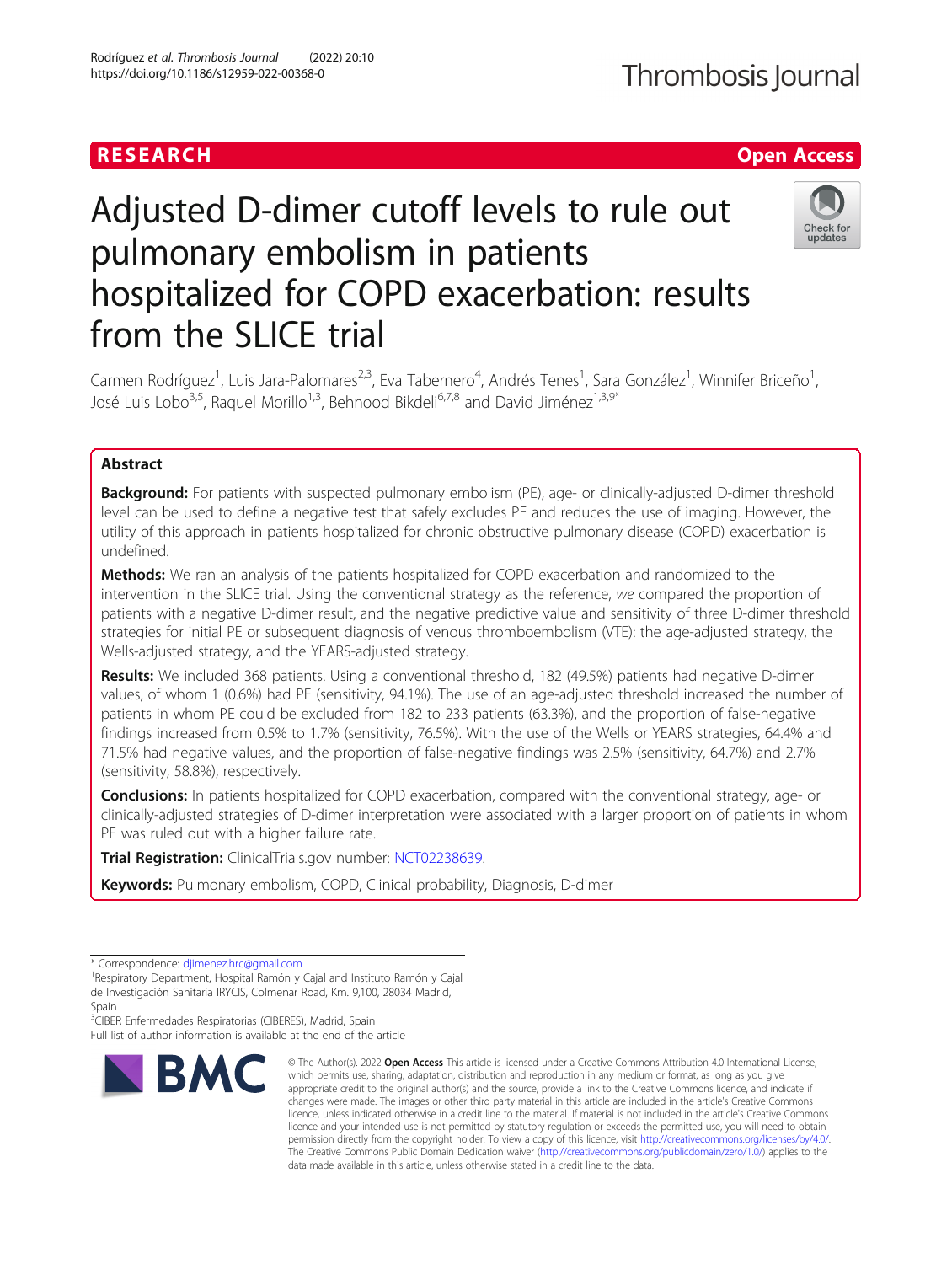# RESEARCH **RESEARCH CHANNEL EXECUTE THE EXECUTIVE OPEN Access**

# Adjusted D-dimer cutoff levels to rule out pulmonary embolism in patients hospitalized for COPD exacerbation: results from the SLICE trial



Carmen Rodríguez<sup>1</sup>, Luis Jara-Palomares<sup>2,3</sup>, Eva Tabernero<sup>4</sup>, Andrés Tenes<sup>1</sup>, Sara González<sup>1</sup>, Winnifer Briceño<sup>1</sup> , José Luis Lobo<sup>3,5</sup>, Raquel Morillo<sup>1,3</sup>, Behnood Bikdeli<sup>6,7,8</sup> and David Jiménez<sup>1,3,9\*</sup>

# Abstract

**Background:** For patients with suspected pulmonary embolism (PE), age- or clinically-adjusted D-dimer threshold level can be used to define a negative test that safely excludes PE and reduces the use of imaging. However, the utility of this approach in patients hospitalized for chronic obstructive pulmonary disease (COPD) exacerbation is undefined.

Methods: We ran an analysis of the patients hospitalized for COPD exacerbation and randomized to the intervention in the SLICE trial. Using the conventional strategy as the reference, we compared the proportion of patients with a negative D-dimer result, and the negative predictive value and sensitivity of three D-dimer threshold strategies for initial PE or subsequent diagnosis of venous thromboembolism (VTE): the age-adjusted strategy, the Wells-adjusted strategy, and the YEARS-adjusted strategy.

Results: We included 368 patients. Using a conventional threshold, 182 (49.5%) patients had negative D-dimer values, of whom 1 (0.6%) had PE (sensitivity, 94.1%). The use of an age-adjusted threshold increased the number of patients in whom PE could be excluded from 182 to 233 patients (63.3%), and the proportion of false-negative findings increased from 0.5% to 1.7% (sensitivity, 76.5%). With the use of the Wells or YEARS strategies, 64.4% and 71.5% had negative values, and the proportion of false-negative findings was 2.5% (sensitivity, 64.7%) and 2.7% (sensitivity, 58.8%), respectively.

**Conclusions:** In patients hospitalized for COPD exacerbation, compared with the conventional strategy, age- or clinically-adjusted strategies of D-dimer interpretation were associated with a larger proportion of patients in whom PE was ruled out with a higher failure rate.

Trial Registration: ClinicalTrials.gov number: [NCT02238639.](https://clinicaltrials.gov/ct2/show/NCT02238639)

Keywords: Pulmonary embolism, COPD, Clinical probability, Diagnosis, D-dimer

<sup>3</sup>CIBER Enfermedades Respiratorias (CIBERES), Madrid, Spain Full list of author information is available at the end of the article



<sup>©</sup> The Author(s), 2022 **Open Access** This article is licensed under a Creative Commons Attribution 4.0 International License, which permits use, sharing, adaptation, distribution and reproduction in any medium or format, as long as you give appropriate credit to the original author(s) and the source, provide a link to the Creative Commons licence, and indicate if changes were made. The images or other third party material in this article are included in the article's Creative Commons licence, unless indicated otherwise in a credit line to the material. If material is not included in the article's Creative Commons licence and your intended use is not permitted by statutory regulation or exceeds the permitted use, you will need to obtain permission directly from the copyright holder. To view a copy of this licence, visit [http://creativecommons.org/licenses/by/4.0/.](http://creativecommons.org/licenses/by/4.0/) The Creative Commons Public Domain Dedication waiver [\(http://creativecommons.org/publicdomain/zero/1.0/](http://creativecommons.org/publicdomain/zero/1.0/)) applies to the data made available in this article, unless otherwise stated in a credit line to the data.

<sup>\*</sup> Correspondence: [djimenez.hrc@gmail.com](mailto:djimenez.hrc@gmail.com) <sup>1</sup>

<sup>&</sup>lt;sup>1</sup> Respiratory Department, Hospital Ramón y Cajal and Instituto Ramón y Cajal de Investigación Sanitaria IRYCIS, Colmenar Road, Km. 9,100, 28034 Madrid, Spain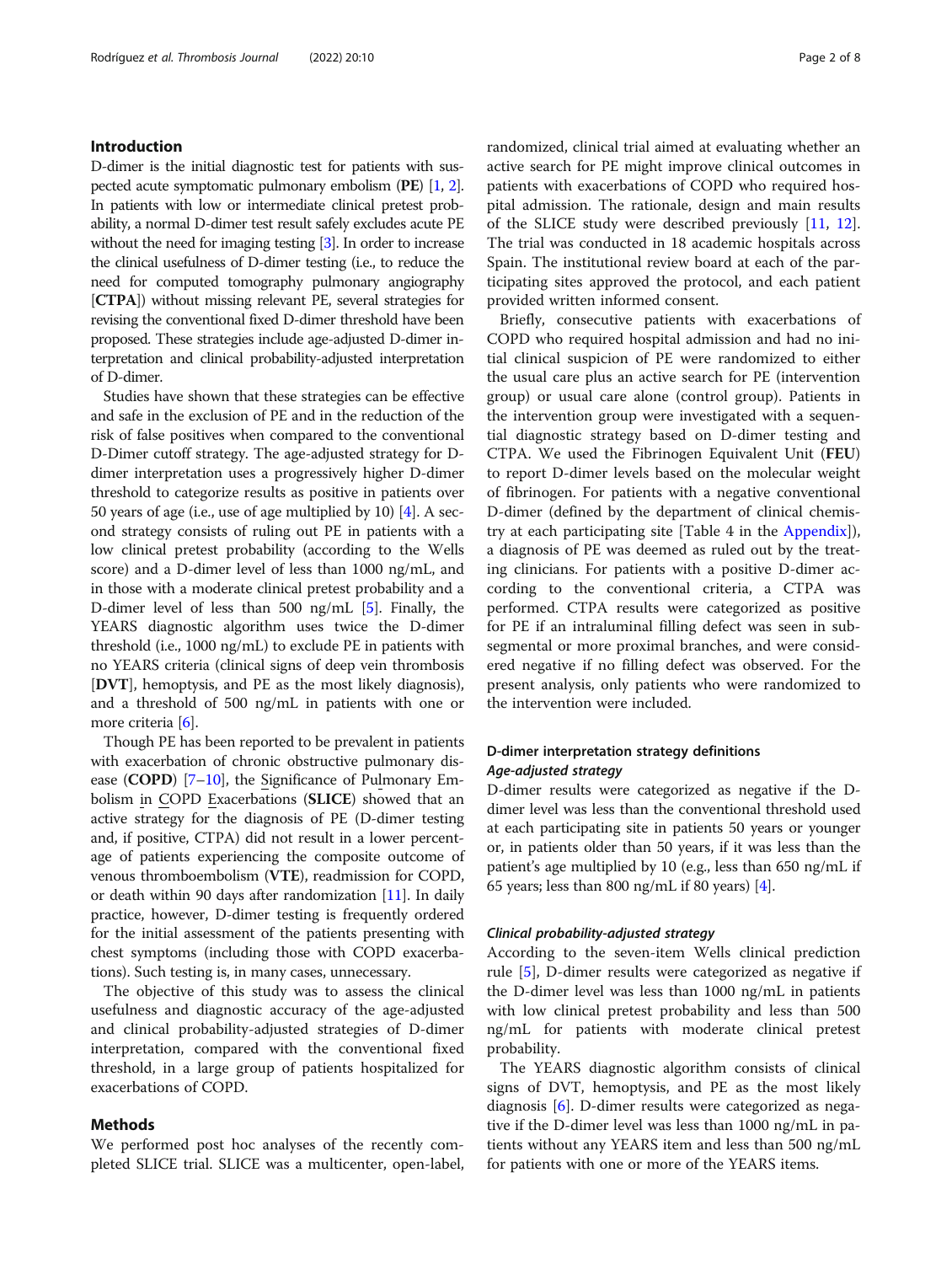# Introduction

D-dimer is the initial diagnostic test for patients with suspected acute symptomatic pulmonary embolism (PE) [\[1,](#page-7-0) [2\]](#page-7-0). In patients with low or intermediate clinical pretest probability, a normal D-dimer test result safely excludes acute PE without the need for imaging testing [[3](#page-7-0)]. In order to increase the clinical usefulness of D-dimer testing (i.e., to reduce the need for computed tomography pulmonary angiography [CTPA]) without missing relevant PE, several strategies for revising the conventional fixed D-dimer threshold have been proposed. These strategies include age-adjusted D-dimer interpretation and clinical probability-adjusted interpretation of D-dimer.

Studies have shown that these strategies can be effective and safe in the exclusion of PE and in the reduction of the risk of false positives when compared to the conventional D-Dimer cutoff strategy. The age-adjusted strategy for Ddimer interpretation uses a progressively higher D-dimer threshold to categorize results as positive in patients over 50 years of age (i.e., use of age multiplied by 10) [[4](#page-7-0)]. A second strategy consists of ruling out PE in patients with a low clinical pretest probability (according to the Wells score) and a D-dimer level of less than 1000 ng/mL, and in those with a moderate clinical pretest probability and a D-dimer level of less than 500 ng/mL [\[5\]](#page-7-0). Finally, the YEARS diagnostic algorithm uses twice the D-dimer threshold (i.e., 1000 ng/mL) to exclude PE in patients with no YEARS criteria (clinical signs of deep vein thrombosis [DVT], hemoptysis, and PE as the most likely diagnosis), and a threshold of 500 ng/mL in patients with one or more criteria [\[6\]](#page-7-0).

Though PE has been reported to be prevalent in patients with exacerbation of chronic obstructive pulmonary disease (COPD) [[7](#page-7-0)–[10](#page-7-0)], the Significance of Pulmonary Embolism in COPD Exacerbations (SLICE) showed that an active strategy for the diagnosis of PE (D-dimer testing and, if positive, CTPA) did not result in a lower percentage of patients experiencing the composite outcome of venous thromboembolism (VTE), readmission for COPD, or death within 90 days after randomization [\[11\]](#page-7-0). In daily practice, however, D-dimer testing is frequently ordered for the initial assessment of the patients presenting with chest symptoms (including those with COPD exacerbations). Such testing is, in many cases, unnecessary.

The objective of this study was to assess the clinical usefulness and diagnostic accuracy of the age-adjusted and clinical probability-adjusted strategies of D-dimer interpretation, compared with the conventional fixed threshold, in a large group of patients hospitalized for exacerbations of COPD.

# Methods

We performed post hoc analyses of the recently completed SLICE trial. SLICE was a multicenter, open-label, randomized, clinical trial aimed at evaluating whether an active search for PE might improve clinical outcomes in patients with exacerbations of COPD who required hospital admission. The rationale, design and main results of the SLICE study were described previously [\[11,](#page-7-0) [12](#page-7-0)]. The trial was conducted in 18 academic hospitals across Spain. The institutional review board at each of the participating sites approved the protocol, and each patient provided written informed consent.

Briefly, consecutive patients with exacerbations of COPD who required hospital admission and had no initial clinical suspicion of PE were randomized to either the usual care plus an active search for PE (intervention group) or usual care alone (control group). Patients in the intervention group were investigated with a sequential diagnostic strategy based on D-dimer testing and CTPA. We used the Fibrinogen Equivalent Unit (FEU) to report D-dimer levels based on the molecular weight of fibrinogen. For patients with a negative conventional D-dimer (defined by the department of clinical chemistry at each participating site [Table 4 in the [Appendix](#page-6-0)]), a diagnosis of PE was deemed as ruled out by the treating clinicians. For patients with a positive D-dimer according to the conventional criteria, a CTPA was performed. CTPA results were categorized as positive for PE if an intraluminal filling defect was seen in subsegmental or more proximal branches, and were considered negative if no filling defect was observed. For the present analysis, only patients who were randomized to the intervention were included.

# D-dimer interpretation strategy definitions Age-adjusted strategy

D-dimer results were categorized as negative if the Ddimer level was less than the conventional threshold used at each participating site in patients 50 years or younger or, in patients older than 50 years, if it was less than the patient's age multiplied by 10 (e.g., less than 650 ng/mL if 65 years; less than 800 ng/mL if 80 years)  $[4]$  $[4]$ .

#### Clinical probability-adjusted strategy

According to the seven-item Wells clinical prediction rule [[5\]](#page-7-0), D-dimer results were categorized as negative if the D-dimer level was less than 1000 ng/mL in patients with low clinical pretest probability and less than 500 ng/mL for patients with moderate clinical pretest probability.

The YEARS diagnostic algorithm consists of clinical signs of DVT, hemoptysis, and PE as the most likely diagnosis [[6\]](#page-7-0). D-dimer results were categorized as negative if the D-dimer level was less than 1000 ng/mL in patients without any YEARS item and less than 500 ng/mL for patients with one or more of the YEARS items.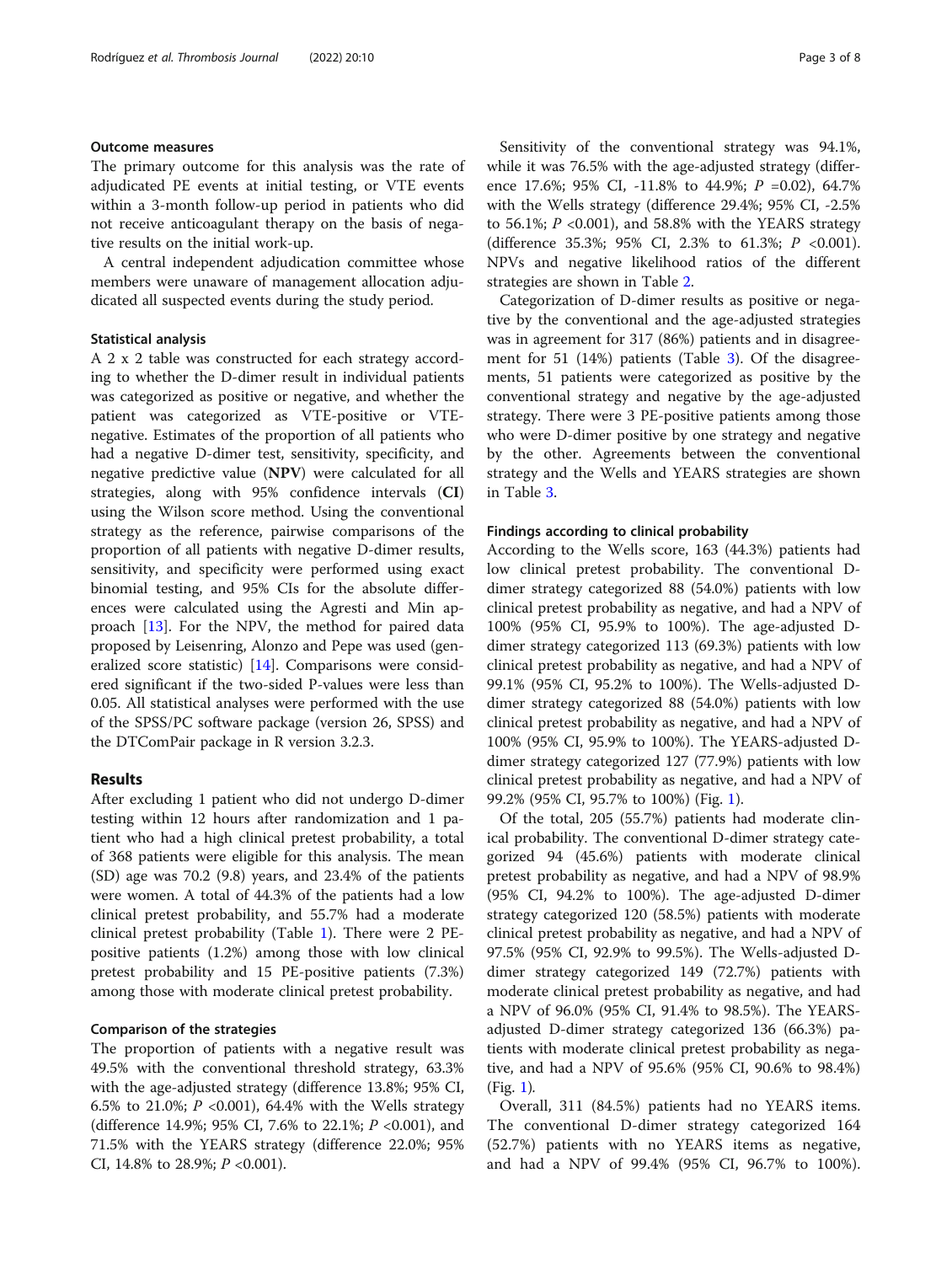#### Outcome measures

The primary outcome for this analysis was the rate of adjudicated PE events at initial testing, or VTE events within a 3-month follow-up period in patients who did not receive anticoagulant therapy on the basis of negative results on the initial work-up.

A central independent adjudication committee whose members were unaware of management allocation adjudicated all suspected events during the study period.

#### Statistical analysis

A 2 x 2 table was constructed for each strategy according to whether the D-dimer result in individual patients was categorized as positive or negative, and whether the patient was categorized as VTE-positive or VTEnegative. Estimates of the proportion of all patients who had a negative D-dimer test, sensitivity, specificity, and negative predictive value (NPV) were calculated for all strategies, along with 95% confidence intervals (CI) using the Wilson score method. Using the conventional strategy as the reference, pairwise comparisons of the proportion of all patients with negative D-dimer results, sensitivity, and specificity were performed using exact binomial testing, and 95% CIs for the absolute differences were calculated using the Agresti and Min approach [\[13](#page-7-0)]. For the NPV, the method for paired data proposed by Leisenring, Alonzo and Pepe was used (generalized score statistic) [[14](#page-7-0)]. Comparisons were considered significant if the two-sided P-values were less than 0.05. All statistical analyses were performed with the use of the SPSS/PC software package (version 26, SPSS) and the DTComPair package in R version 3.2.3.

#### Results

After excluding 1 patient who did not undergo D-dimer testing within 12 hours after randomization and 1 patient who had a high clinical pretest probability, a total of 368 patients were eligible for this analysis. The mean (SD) age was 70.2 (9.8) years, and 23.4% of the patients were women. A total of 44.3% of the patients had a low clinical pretest probability, and 55.7% had a moderate clinical pretest probability (Table [1](#page-3-0)). There were 2 PEpositive patients (1.2%) among those with low clinical pretest probability and 15 PE-positive patients (7.3%) among those with moderate clinical pretest probability.

#### Comparison of the strategies

The proportion of patients with a negative result was 49.5% with the conventional threshold strategy, 63.3% with the age-adjusted strategy (difference 13.8%; 95% CI, 6.5% to 21.0%;  $P \le 0.001$ ), 64.4% with the Wells strategy (difference 14.9%; 95% CI, 7.6% to 22.1%; P <0.001), and 71.5% with the YEARS strategy (difference 22.0%; 95% CI, 14.8% to 28.9%;  $P < 0.001$ ).

Sensitivity of the conventional strategy was 94.1%, while it was 76.5% with the age-adjusted strategy (difference 17.6%; 95% CI, -11.8% to 44.9%; P =0.02), 64.7% with the Wells strategy (difference 29.4%; 95% CI, -2.5% to 56.1%;  $P$  <0.001), and 58.8% with the YEARS strategy (difference 35.3%; 95% CI, 2.3% to 61.3%; P <0.001). NPVs and negative likelihood ratios of the different strategies are shown in Table [2](#page-4-0).

Categorization of D-dimer results as positive or negative by the conventional and the age-adjusted strategies was in agreement for 317 (86%) patients and in disagreement for 51 (14%) patients (Table [3\)](#page-4-0). Of the disagreements, 51 patients were categorized as positive by the conventional strategy and negative by the age-adjusted strategy. There were 3 PE-positive patients among those who were D-dimer positive by one strategy and negative by the other. Agreements between the conventional strategy and the Wells and YEARS strategies are shown in Table [3.](#page-4-0)

#### Findings according to clinical probability

According to the Wells score, 163 (44.3%) patients had low clinical pretest probability. The conventional Ddimer strategy categorized 88 (54.0%) patients with low clinical pretest probability as negative, and had a NPV of 100% (95% CI, 95.9% to 100%). The age-adjusted Ddimer strategy categorized 113 (69.3%) patients with low clinical pretest probability as negative, and had a NPV of 99.1% (95% CI, 95.2% to 100%). The Wells-adjusted Ddimer strategy categorized 88 (54.0%) patients with low clinical pretest probability as negative, and had a NPV of 100% (95% CI, 95.9% to 100%). The YEARS-adjusted Ddimer strategy categorized 127 (77.9%) patients with low clinical pretest probability as negative, and had a NPV of 99.2% (95% CI, 95.7% to 100%) (Fig. [1](#page-5-0)).

Of the total, 205 (55.7%) patients had moderate clinical probability. The conventional D-dimer strategy categorized 94 (45.6%) patients with moderate clinical pretest probability as negative, and had a NPV of 98.9% (95% CI, 94.2% to 100%). The age-adjusted D-dimer strategy categorized 120 (58.5%) patients with moderate clinical pretest probability as negative, and had a NPV of 97.5% (95% CI, 92.9% to 99.5%). The Wells-adjusted Ddimer strategy categorized 149 (72.7%) patients with moderate clinical pretest probability as negative, and had a NPV of 96.0% (95% CI, 91.4% to 98.5%). The YEARSadjusted D-dimer strategy categorized 136 (66.3%) patients with moderate clinical pretest probability as negative, and had a NPV of 95.6% (95% CI, 90.6% to 98.4%) (Fig. [1](#page-5-0)).

Overall, 311 (84.5%) patients had no YEARS items. The conventional D-dimer strategy categorized 164 (52.7%) patients with no YEARS items as negative, and had a NPV of 99.4% (95% CI, 96.7% to 100%).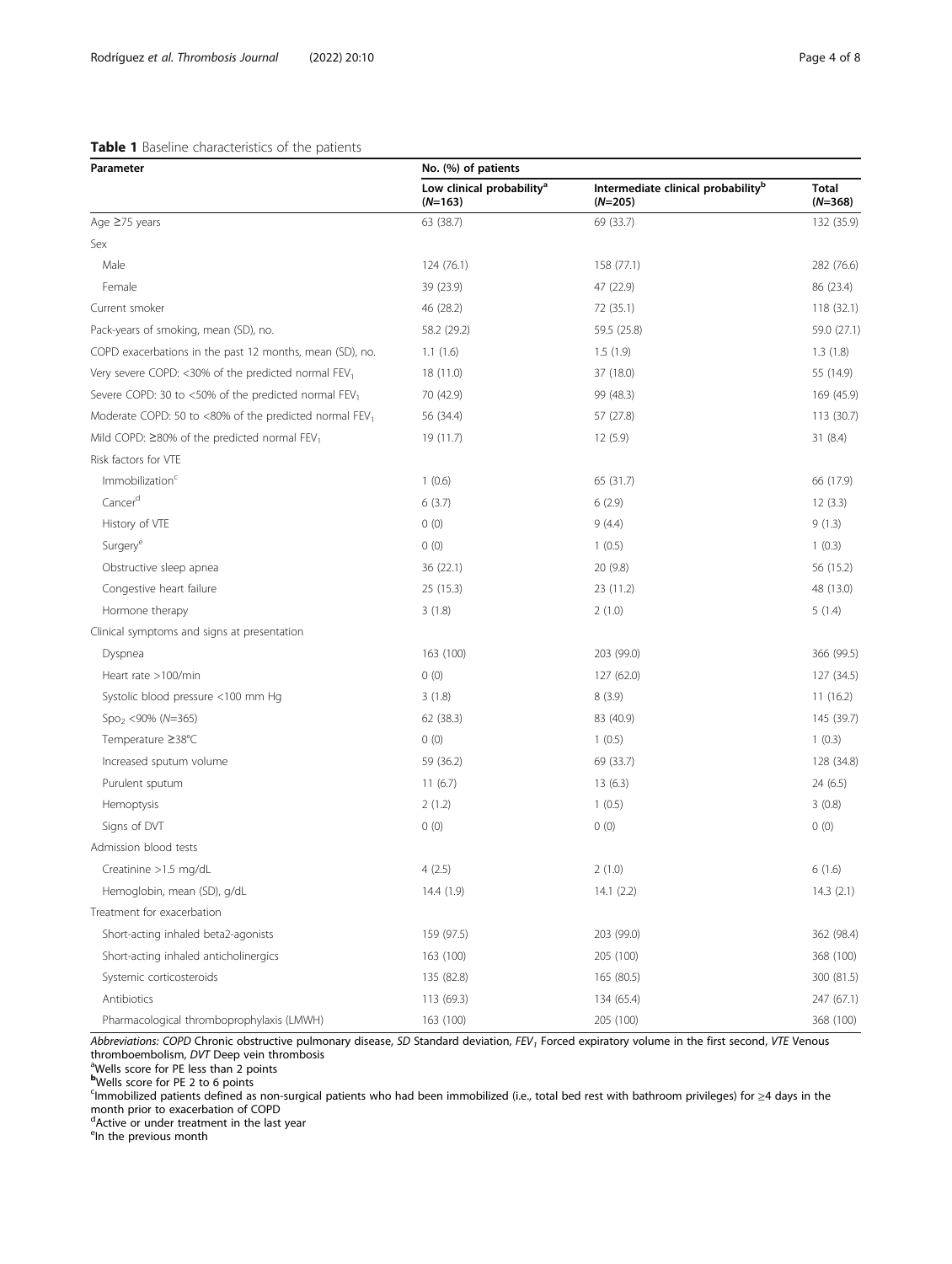# <span id="page-3-0"></span>Table 1 Baseline characteristics of the patients

| Parameter                                                          | No. (%) of patients                                |                                                             |                           |  |
|--------------------------------------------------------------------|----------------------------------------------------|-------------------------------------------------------------|---------------------------|--|
|                                                                    | Low clinical probability <sup>a</sup><br>$(N=163)$ | Intermediate clinical probability <sup>b</sup><br>$(N=205)$ | <b>Total</b><br>$(N=368)$ |  |
| Age ≥75 years                                                      | 63 (38.7)                                          | 69 (33.7)                                                   | 132 (35.9)                |  |
| Sex                                                                |                                                    |                                                             |                           |  |
| Male                                                               | 124 (76.1)                                         | 158 (77.1)                                                  | 282 (76.6)                |  |
| Female                                                             | 39 (23.9)                                          | 47 (22.9)                                                   | 86 (23.4)                 |  |
| Current smoker                                                     | 46 (28.2)                                          | 72 (35.1)                                                   | 118 (32.1)                |  |
| Pack-years of smoking, mean (SD), no.                              | 58.2 (29.2)                                        | 59.5 (25.8)                                                 | 59.0 (27.1)               |  |
| COPD exacerbations in the past 12 months, mean (SD), no.           | 1.1(1.6)                                           | 1.5(1.9)                                                    | 1.3(1.8)                  |  |
| Very severe COPD: <30% of the predicted normal FEV1                | 18 (11.0)                                          | 37 (18.0)                                                   | 55 (14.9)                 |  |
| Severe COPD: 30 to <50% of the predicted normal FEV <sub>1</sub>   | 70 (42.9)                                          | 99 (48.3)                                                   | 169 (45.9)                |  |
| Moderate COPD: 50 to <80% of the predicted normal FEV <sub>1</sub> | 56 (34.4)                                          | 57 (27.8)                                                   | 113(30.7)                 |  |
| Mild COPD: $\geq$ 80% of the predicted normal FEV <sub>1</sub>     | 19 (11.7)                                          | 12(5.9)                                                     | 31(8.4)                   |  |
| Risk factors for VTE                                               |                                                    |                                                             |                           |  |
| Immobilization <sup>c</sup>                                        | 1(0.6)                                             | 65 (31.7)                                                   | 66 (17.9)                 |  |
| Cancer <sup>d</sup>                                                | 6(3.7)                                             | 6(2.9)                                                      | 12(3.3)                   |  |
| History of VTE                                                     | 0(0)                                               | 9(4.4)                                                      | 9(1.3)                    |  |
| Surgery <sup>e</sup>                                               | 0(0)                                               | 1(0.5)                                                      | 1(0.3)                    |  |
| Obstructive sleep apnea                                            | 36 (22.1)                                          | 20(9.8)                                                     | 56 (15.2)                 |  |
| Congestive heart failure                                           | 25 (15.3)                                          | 23 (11.2)                                                   | 48 (13.0)                 |  |
| Hormone therapy                                                    | 3(1.8)                                             | 2(1.0)                                                      | 5(1.4)                    |  |
| Clinical symptoms and signs at presentation                        |                                                    |                                                             |                           |  |
| Dyspnea                                                            | 163 (100)                                          | 203 (99.0)                                                  | 366 (99.5)                |  |
| Heart rate >100/min                                                | 0(0)                                               | 127 (62.0)                                                  | 127 (34.5)                |  |
| Systolic blood pressure <100 mm Hg                                 | 3(1.8)                                             | 8(3.9)                                                      | 11(16.2)                  |  |
| $Spo2 < 90\% (N=365)$                                              | 62 (38.3)                                          | 83 (40.9)                                                   | 145 (39.7)                |  |
| Temperature ≥38°C                                                  | 0(0)                                               | 1(0.5)                                                      | 1(0.3)                    |  |
| Increased sputum volume                                            | 59 (36.2)                                          | 69 (33.7)                                                   | 128 (34.8)                |  |
| Purulent sputum                                                    | 11(6.7)                                            | 13(6.3)                                                     | 24 (6.5)                  |  |
| Hemoptysis                                                         | 2(1.2)                                             | 1(0.5)                                                      | 3(0.8)                    |  |
| Signs of DVT                                                       | 0(0)                                               | 0(0)                                                        | 0(0)                      |  |
| Admission blood tests                                              |                                                    |                                                             |                           |  |
| Creatinine >1.5 mg/dL                                              | 4(2.5)                                             | 2(1.0)                                                      | 6(1.6)                    |  |
| Hemoglobin, mean (SD), g/dL                                        | 14.4 (1.9)                                         | 14.1(2.2)                                                   | 14.3(2.1)                 |  |
| Treatment for exacerbation                                         |                                                    |                                                             |                           |  |
| Short-acting inhaled beta2-agonists                                | 159 (97.5)                                         | 203 (99.0)                                                  | 362 (98.4)                |  |
| Short-acting inhaled anticholinergics                              | 163 (100)                                          | 205 (100)                                                   | 368 (100)                 |  |
| Systemic corticosteroids                                           | 135 (82.8)                                         | 165 (80.5)                                                  | 300 (81.5)                |  |
| Antibiotics                                                        | 113 (69.3)                                         | 134 (65.4)                                                  | 247 (67.1)                |  |
| Pharmacological thromboprophylaxis (LMWH)                          | 163 (100)                                          | 205 (100)                                                   | 368 (100)                 |  |

Abbreviations: COPD Chronic obstructive pulmonary disease, SD Standard deviation, FEV1 Forced expiratory volume in the first second, VTE Venous thromboembolism, *DV*T Deep vein thrombosis<br><sup>a</sup>Wells score for PE less than 2 points

**b**Wells score for PE 2 to 6 points

c Immobilized patients defined as non-surgical patients who had been immobilized (i.e., total bed rest with bathroom privileges) for ≥4 days in the month prior to exacerbation of COPD d Active or under treatment in the last year

<sup>e</sup>ln the previous month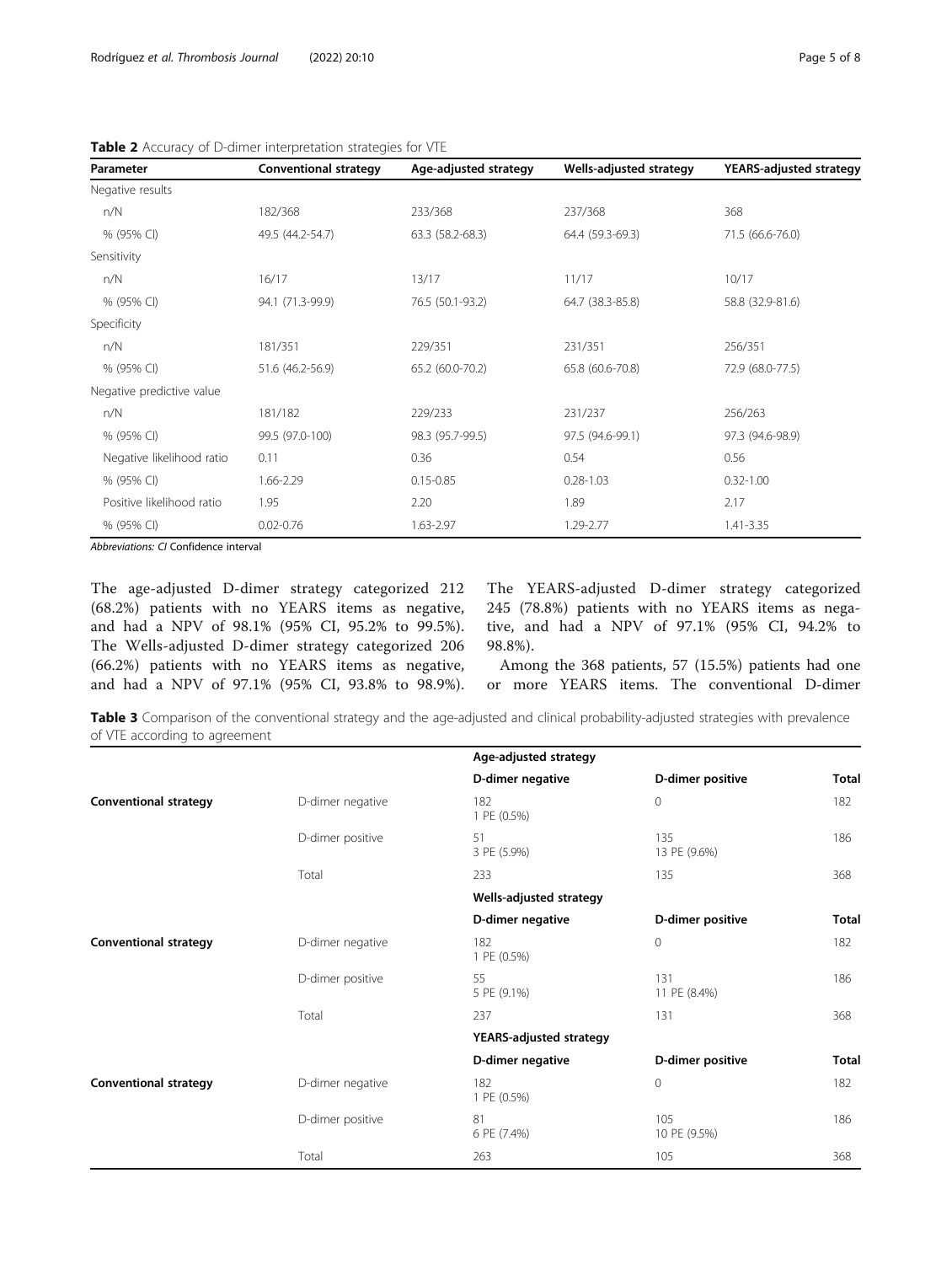| Parameter                 | <b>Conventional strategy</b> | Age-adjusted strategy | Wells-adjusted strategy | <b>YEARS-adjusted strategy</b> |
|---------------------------|------------------------------|-----------------------|-------------------------|--------------------------------|
| Negative results          |                              |                       |                         |                                |
| n/N                       | 182/368                      | 233/368               | 237/368                 | 368                            |
| % (95% CI)                | 49.5 (44.2-54.7)             | 63.3 (58.2-68.3)      | 64.4 (59.3-69.3)        | 71.5 (66.6-76.0)               |
| Sensitivity               |                              |                       |                         |                                |
| n/N                       | 16/17                        | 13/17                 | 11/17                   | 10/17                          |
| % (95% CI)                | 94.1 (71.3-99.9)             | 76.5 (50.1-93.2)      | 64.7 (38.3-85.8)        | 58.8 (32.9-81.6)               |
| Specificity               |                              |                       |                         |                                |
| n/N                       | 181/351                      | 229/351               | 231/351                 | 256/351                        |
| % (95% CI)                | 51.6 (46.2-56.9)             | 65.2 (60.0-70.2)      | 65.8 (60.6-70.8)        | 72.9 (68.0-77.5)               |
| Negative predictive value |                              |                       |                         |                                |
| n/N                       | 181/182                      | 229/233               | 231/237                 | 256/263                        |
| % (95% CI)                | 99.5 (97.0-100)              | 98.3 (95.7-99.5)      | 97.5 (94.6-99.1)        | 97.3 (94.6-98.9)               |
| Negative likelihood ratio | 0.11                         | 0.36                  | 0.54                    | 0.56                           |
| % (95% CI)                | 1.66-2.29                    | $0.15 - 0.85$         | $0.28 - 1.03$           | $0.32 - 1.00$                  |
| Positive likelihood ratio | 1.95                         | 2.20                  | 1.89                    | 2.17                           |
| % (95% CI)                | $0.02 - 0.76$                | 1.63-2.97             | 1.29-2.77               | 1.41-3.35                      |

<span id="page-4-0"></span>

| Table 2 Accuracy of D-dimer interpretation strategies for VTE |  |  |
|---------------------------------------------------------------|--|--|
|                                                               |  |  |

Abbreviations: CI Confidence interval

The age-adjusted D-dimer strategy categorized 212 (68.2%) patients with no YEARS items as negative, and had a NPV of 98.1% (95% CI, 95.2% to 99.5%). The Wells-adjusted D-dimer strategy categorized 206 (66.2%) patients with no YEARS items as negative, and had a NPV of 97.1% (95% CI, 93.8% to 98.9%). The YEARS-adjusted D-dimer strategy categorized 245 (78.8%) patients with no YEARS items as negative, and had a NPV of 97.1% (95% CI, 94.2% to 98.8%).

Among the 368 patients, 57 (15.5%) patients had one or more YEARS items. The conventional D-dimer

Table 3 Comparison of the conventional strategy and the age-adjusted and clinical probability-adjusted strategies with prevalence of VTE according to agreement

|                              |                  | Age-adjusted strategy          |                     |              |
|------------------------------|------------------|--------------------------------|---------------------|--------------|
|                              |                  | D-dimer negative               | D-dimer positive    | <b>Total</b> |
| <b>Conventional strategy</b> | D-dimer negative | 182<br>1 PE (0.5%)             | 0                   | 182          |
|                              | D-dimer positive | 51<br>3 PE (5.9%)              | 135<br>13 PE (9.6%) | 186          |
|                              | Total            | 233                            | 135                 | 368          |
|                              |                  | Wells-adjusted strategy        |                     |              |
|                              |                  | D-dimer negative               | D-dimer positive    | <b>Total</b> |
| <b>Conventional strategy</b> | D-dimer negative | 182<br>1 PE (0.5%)             | 0                   | 182          |
|                              | D-dimer positive | 55<br>5 PE (9.1%)              | 131<br>11 PE (8.4%) | 186          |
|                              | Total            | 237                            | 131                 | 368          |
|                              |                  | <b>YEARS-adjusted strategy</b> |                     |              |
|                              |                  | D-dimer negative               | D-dimer positive    | <b>Total</b> |
| <b>Conventional strategy</b> | D-dimer negative | 182<br>1 PE (0.5%)             | 0                   | 182          |
|                              | D-dimer positive | 81<br>6 PE (7.4%)              | 105<br>10 PE (9.5%) | 186          |
|                              | Total            | 263                            | 105                 | 368          |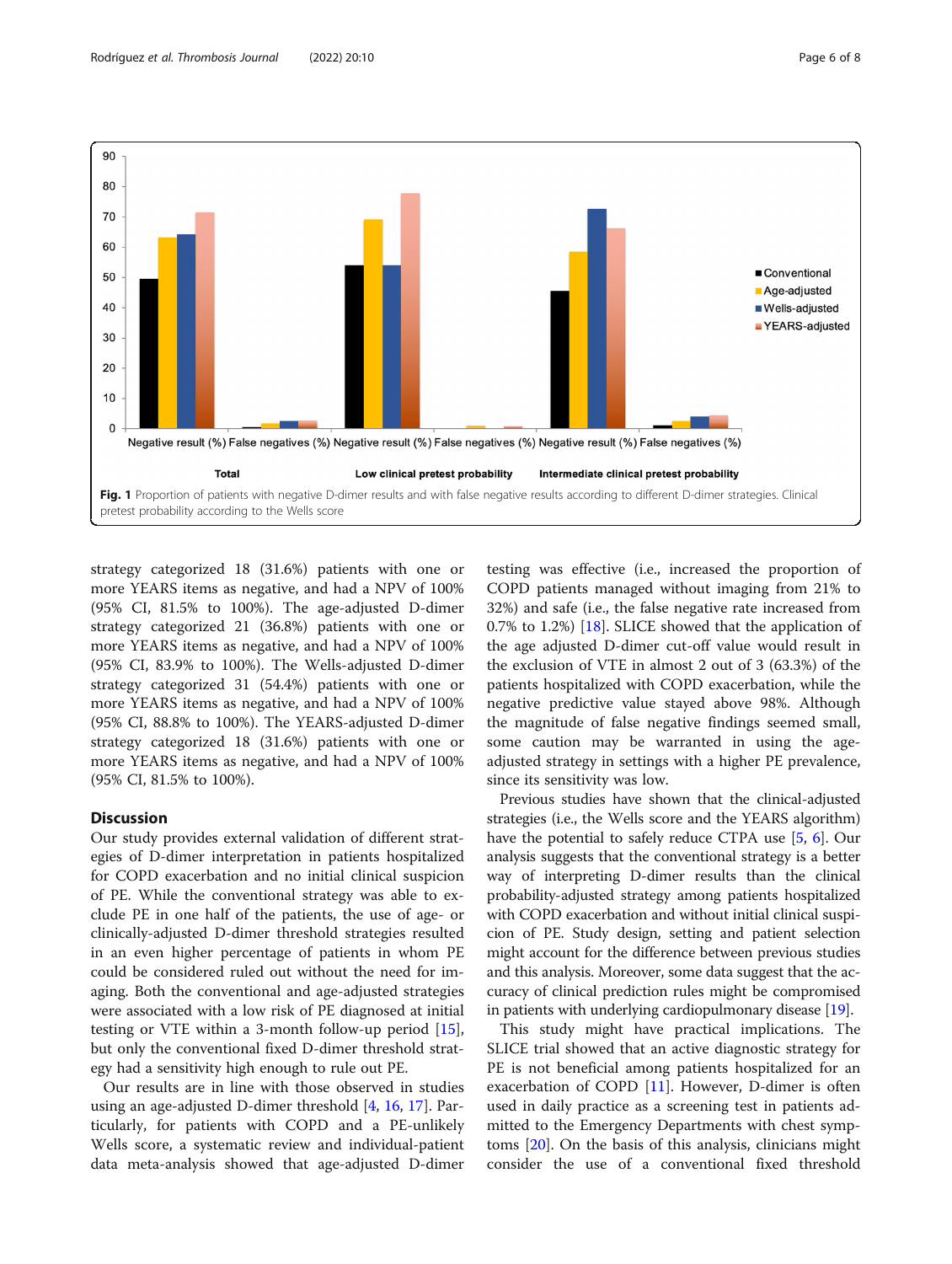<span id="page-5-0"></span>

strategy categorized 18 (31.6%) patients with one or more YEARS items as negative, and had a NPV of 100% (95% CI, 81.5% to 100%). The age-adjusted D-dimer strategy categorized 21 (36.8%) patients with one or more YEARS items as negative, and had a NPV of 100% (95% CI, 83.9% to 100%). The Wells-adjusted D-dimer strategy categorized 31 (54.4%) patients with one or more YEARS items as negative, and had a NPV of 100% (95% CI, 88.8% to 100%). The YEARS-adjusted D-dimer strategy categorized 18 (31.6%) patients with one or more YEARS items as negative, and had a NPV of 100% (95% CI, 81.5% to 100%).

# **Discussion**

Our study provides external validation of different strategies of D-dimer interpretation in patients hospitalized for COPD exacerbation and no initial clinical suspicion of PE. While the conventional strategy was able to exclude PE in one half of the patients, the use of age- or clinically-adjusted D-dimer threshold strategies resulted in an even higher percentage of patients in whom PE could be considered ruled out without the need for imaging. Both the conventional and age-adjusted strategies were associated with a low risk of PE diagnosed at initial testing or VTE within a 3-month follow-up period [\[15](#page-7-0)], but only the conventional fixed D-dimer threshold strategy had a sensitivity high enough to rule out PE.

Our results are in line with those observed in studies using an age-adjusted D-dimer threshold [\[4](#page-7-0), [16](#page-7-0), [17](#page-7-0)]. Particularly, for patients with COPD and a PE-unlikely Wells score, a systematic review and individual-patient data meta-analysis showed that age-adjusted D-dimer testing was effective (i.e., increased the proportion of COPD patients managed without imaging from 21% to 32%) and safe (i.e., the false negative rate increased from 0.7% to 1.2%) [\[18](#page-7-0)]. SLICE showed that the application of the age adjusted D-dimer cut-off value would result in the exclusion of VTE in almost 2 out of 3 (63.3%) of the patients hospitalized with COPD exacerbation, while the negative predictive value stayed above 98%. Although the magnitude of false negative findings seemed small, some caution may be warranted in using the ageadjusted strategy in settings with a higher PE prevalence, since its sensitivity was low.

Previous studies have shown that the clinical-adjusted strategies (i.e., the Wells score and the YEARS algorithm) have the potential to safely reduce CTPA use [\[5,](#page-7-0) [6](#page-7-0)]. Our analysis suggests that the conventional strategy is a better way of interpreting D-dimer results than the clinical probability-adjusted strategy among patients hospitalized with COPD exacerbation and without initial clinical suspicion of PE. Study design, setting and patient selection might account for the difference between previous studies and this analysis. Moreover, some data suggest that the accuracy of clinical prediction rules might be compromised in patients with underlying cardiopulmonary disease [\[19\]](#page-7-0).

This study might have practical implications. The SLICE trial showed that an active diagnostic strategy for PE is not beneficial among patients hospitalized for an exacerbation of COPD [[11\]](#page-7-0). However, D-dimer is often used in daily practice as a screening test in patients admitted to the Emergency Departments with chest symptoms [[20](#page-7-0)]. On the basis of this analysis, clinicians might consider the use of a conventional fixed threshold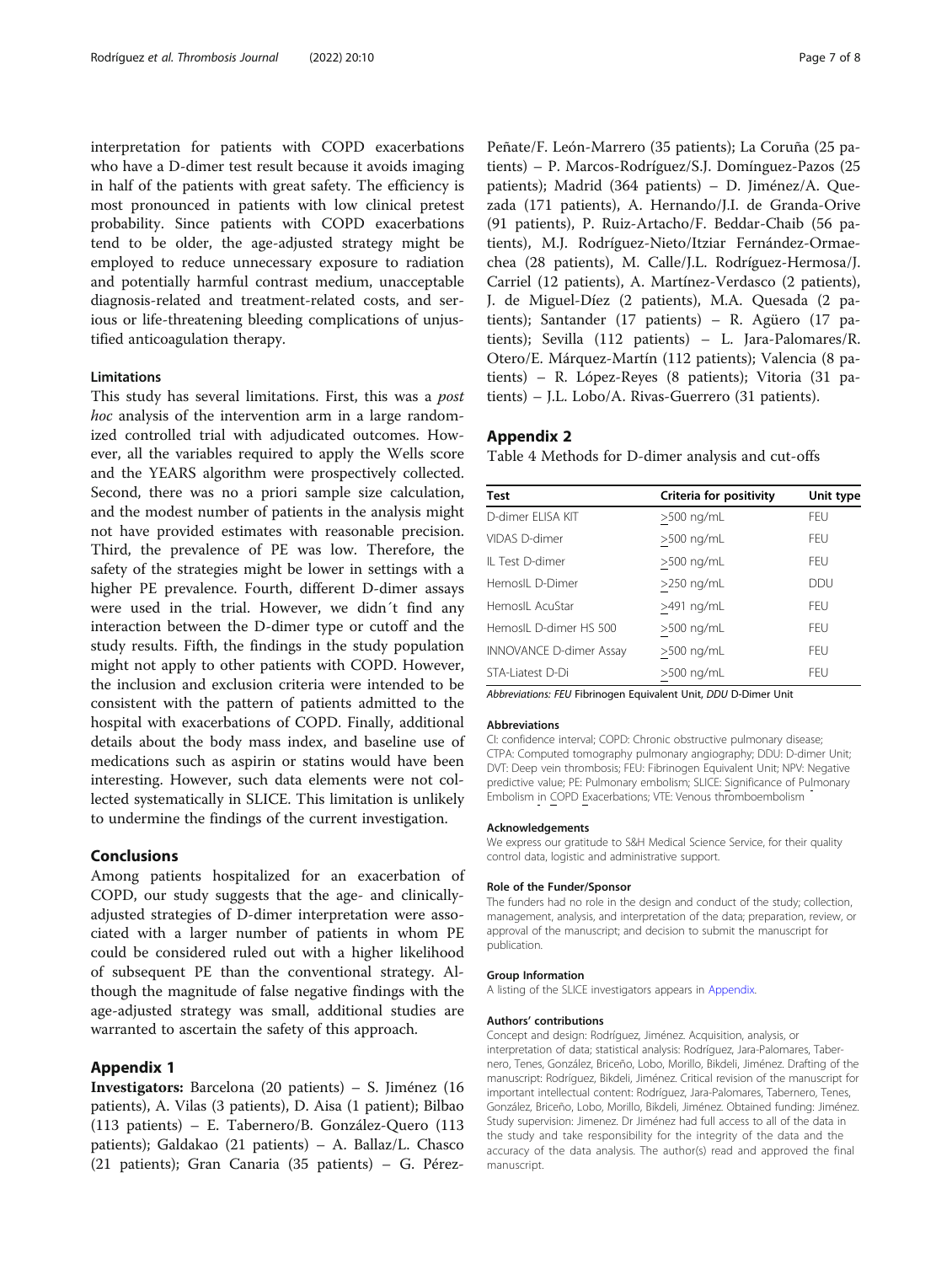<span id="page-6-0"></span>interpretation for patients with COPD exacerbations who have a D-dimer test result because it avoids imaging in half of the patients with great safety. The efficiency is most pronounced in patients with low clinical pretest probability. Since patients with COPD exacerbations tend to be older, the age-adjusted strategy might be employed to reduce unnecessary exposure to radiation and potentially harmful contrast medium, unacceptable diagnosis-related and treatment-related costs, and serious or life-threatening bleeding complications of unjustified anticoagulation therapy.

#### Limitations

This study has several limitations. First, this was a *post* hoc analysis of the intervention arm in a large randomized controlled trial with adjudicated outcomes. However, all the variables required to apply the Wells score and the YEARS algorithm were prospectively collected. Second, there was no a priori sample size calculation, and the modest number of patients in the analysis might not have provided estimates with reasonable precision. Third, the prevalence of PE was low. Therefore, the safety of the strategies might be lower in settings with a higher PE prevalence. Fourth, different D-dimer assays were used in the trial. However, we didn´t find any interaction between the D-dimer type or cutoff and the study results. Fifth, the findings in the study population might not apply to other patients with COPD. However, the inclusion and exclusion criteria were intended to be consistent with the pattern of patients admitted to the hospital with exacerbations of COPD. Finally, additional details about the body mass index, and baseline use of medications such as aspirin or statins would have been interesting. However, such data elements were not collected systematically in SLICE. This limitation is unlikely to undermine the findings of the current investigation.

# Conclusions

Among patients hospitalized for an exacerbation of COPD, our study suggests that the age- and clinicallyadjusted strategies of D-dimer interpretation were associated with a larger number of patients in whom PE could be considered ruled out with a higher likelihood of subsequent PE than the conventional strategy. Although the magnitude of false negative findings with the age-adjusted strategy was small, additional studies are warranted to ascertain the safety of this approach.

#### Appendix 1

Investigators: Barcelona (20 patients) – S. Jiménez (16 patients), A. Vilas (3 patients), D. Aisa (1 patient); Bilbao (113 patients) – E. Tabernero/B. González-Quero (113 patients); Galdakao (21 patients) – A. Ballaz/L. Chasco (21 patients); Gran Canaria (35 patients) – G. PérezPeñate/F. León-Marrero (35 patients); La Coruña (25 patients) – P. Marcos-Rodríguez/S.J. Domínguez-Pazos (25 patients); Madrid (364 patients) – D. Jiménez/A. Quezada (171 patients), A. Hernando/J.I. de Granda-Orive (91 patients), P. Ruiz-Artacho/F. Beddar-Chaib (56 patients), M.J. Rodríguez-Nieto/Itziar Fernández-Ormaechea (28 patients), M. Calle/J.L. Rodríguez-Hermosa/J. Carriel (12 patients), A. Martínez-Verdasco (2 patients), J. de Miguel-Díez (2 patients), M.A. Quesada (2 patients); Santander (17 patients) – R. Agüero (17 patients); Sevilla (112 patients) – L. Jara-Palomares/R. Otero/E. Márquez-Martín (112 patients); Valencia (8 patients) – R. López-Reyes (8 patients); Vitoria (31 patients) – J.L. Lobo/A. Rivas-Guerrero (31 patients).

#### Appendix 2

Table 4 Methods for D-dimer analysis and cut-offs

| <b>Test</b>                    | Criteria for positivity | Unit type  |
|--------------------------------|-------------------------|------------|
| D-dimer ELISA KIT              | $>500$ ng/mL            | FEU        |
| VIDAS D-dimer                  | >500 ng/mL              | <b>FFU</b> |
| IL Test D-dimer                | >500 ng/mL              | <b>FFU</b> |
| HemosIL D-Dimer                | $>250$ ng/mL            | <b>DDU</b> |
| HemosIL AcuStar                | >491 ng/mL              | <b>FFU</b> |
| Hemosll D-dimer HS 500         | $>500$ ng/mL            | <b>FFU</b> |
| <b>INNOVANCE D-dimer Assay</b> | $>500$ ng/mL            | <b>FFU</b> |
| STA-Liatest D-Di               | $>500$ ng/mL            | <b>FFU</b> |

Abbreviations: FEU Fibrinogen Equivalent Unit, DDU D-Dimer Unit

#### Abbreviations

CI: confidence interval; COPD: Chronic obstructive pulmonary disease; CTPA: Computed tomography pulmonary angiography; DDU: D-dimer Unit; DVT: Deep vein thrombosis; FEU: Fibrinogen Equivalent Unit; NPV: Negative predictive value; PE: Pulmonary embolism; SLICE: Significance of Pulmonary Embolism in COPD Exacerbations; VTE: Venous thromboembolism

#### Acknowledgements

We express our gratitude to S&H Medical Science Service, for their quality control data, logistic and administrative support.

#### Role of the Funder/Sponsor

The funders had no role in the design and conduct of the study; collection, management, analysis, and interpretation of the data; preparation, review, or approval of the manuscript; and decision to submit the manuscript for publication.

#### Group Information

A listing of the SLICE investigators appears in Appendix.

#### Authors' contributions

Concept and design: Rodríguez, Jiménez. Acquisition, analysis, or interpretation of data; statistical analysis: Rodríguez, Jara-Palomares, Tabernero, Tenes, González, Briceño, Lobo, Morillo, Bikdeli, Jiménez. Drafting of the manuscript: Rodríguez, Bikdeli, Jiménez. Critical revision of the manuscript for important intellectual content: Rodríguez, Jara-Palomares, Tabernero, Tenes, González, Briceño, Lobo, Morillo, Bikdeli, Jiménez. Obtained funding: Jiménez. Study supervision: Jimenez. Dr Jiménez had full access to all of the data in the study and take responsibility for the integrity of the data and the accuracy of the data analysis. The author(s) read and approved the final manuscript.